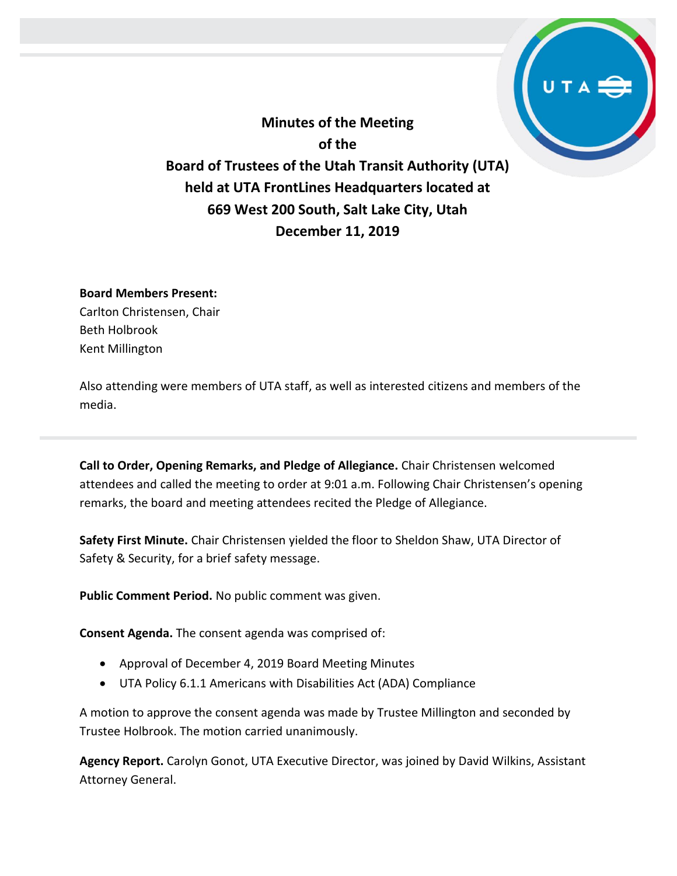**Minutes of the Meeting of the Board of Trustees of the Utah Transit Authority (UTA) held at UTA FrontLines Headquarters located at 669 West 200 South, Salt Lake City, Utah December 11, 2019**

## **Board Members Present:**

Carlton Christensen, Chair Beth Holbrook Kent Millington

Also attending were members of UTA staff, as well as interested citizens and members of the media.

**Call to Order, Opening Remarks, and Pledge of Allegiance.** Chair Christensen welcomed attendees and called the meeting to order at 9:01 a.m. Following Chair Christensen's opening remarks, the board and meeting attendees recited the Pledge of Allegiance.

**Safety First Minute.** Chair Christensen yielded the floor to Sheldon Shaw, UTA Director of Safety & Security, for a brief safety message.

**Public Comment Period.** No public comment was given.

**Consent Agenda.** The consent agenda was comprised of:

- Approval of December 4, 2019 Board Meeting Minutes
- UTA Policy 6.1.1 Americans with Disabilities Act (ADA) Compliance

A motion to approve the consent agenda was made by Trustee Millington and seconded by Trustee Holbrook. The motion carried unanimously.

**Agency Report.** Carolyn Gonot, UTA Executive Director, was joined by David Wilkins, Assistant Attorney General.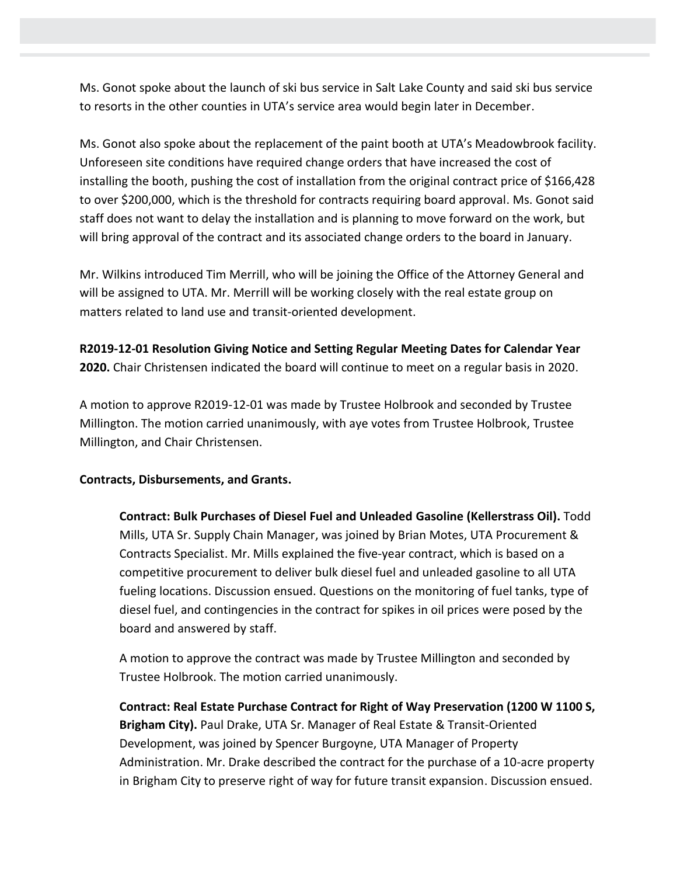Ms. Gonot spoke about the launch of ski bus service in Salt Lake County and said ski bus service to resorts in the other counties in UTA's service area would begin later in December.

Ms. Gonot also spoke about the replacement of the paint booth at UTA's Meadowbrook facility. Unforeseen site conditions have required change orders that have increased the cost of installing the booth, pushing the cost of installation from the original contract price of \$166,428 to over \$200,000, which is the threshold for contracts requiring board approval. Ms. Gonot said staff does not want to delay the installation and is planning to move forward on the work, but will bring approval of the contract and its associated change orders to the board in January.

Mr. Wilkins introduced Tim Merrill, who will be joining the Office of the Attorney General and will be assigned to UTA. Mr. Merrill will be working closely with the real estate group on matters related to land use and transit-oriented development.

**R2019-12-01 Resolution Giving Notice and Setting Regular Meeting Dates for Calendar Year 2020.** Chair Christensen indicated the board will continue to meet on a regular basis in 2020.

A motion to approve R2019-12-01 was made by Trustee Holbrook and seconded by Trustee Millington. The motion carried unanimously, with aye votes from Trustee Holbrook, Trustee Millington, and Chair Christensen.

# **Contracts, Disbursements, and Grants.**

**Contract: Bulk Purchases of Diesel Fuel and Unleaded Gasoline (Kellerstrass Oil).** Todd Mills, UTA Sr. Supply Chain Manager, was joined by Brian Motes, UTA Procurement & Contracts Specialist. Mr. Mills explained the five-year contract, which is based on a competitive procurement to deliver bulk diesel fuel and unleaded gasoline to all UTA fueling locations. Discussion ensued. Questions on the monitoring of fuel tanks, type of diesel fuel, and contingencies in the contract for spikes in oil prices were posed by the board and answered by staff.

A motion to approve the contract was made by Trustee Millington and seconded by Trustee Holbrook. The motion carried unanimously.

**Contract: Real Estate Purchase Contract for Right of Way Preservation (1200 W 1100 S, Brigham City).** Paul Drake, UTA Sr. Manager of Real Estate & Transit-Oriented Development, was joined by Spencer Burgoyne, UTA Manager of Property Administration. Mr. Drake described the contract for the purchase of a 10-acre property in Brigham City to preserve right of way for future transit expansion. Discussion ensued.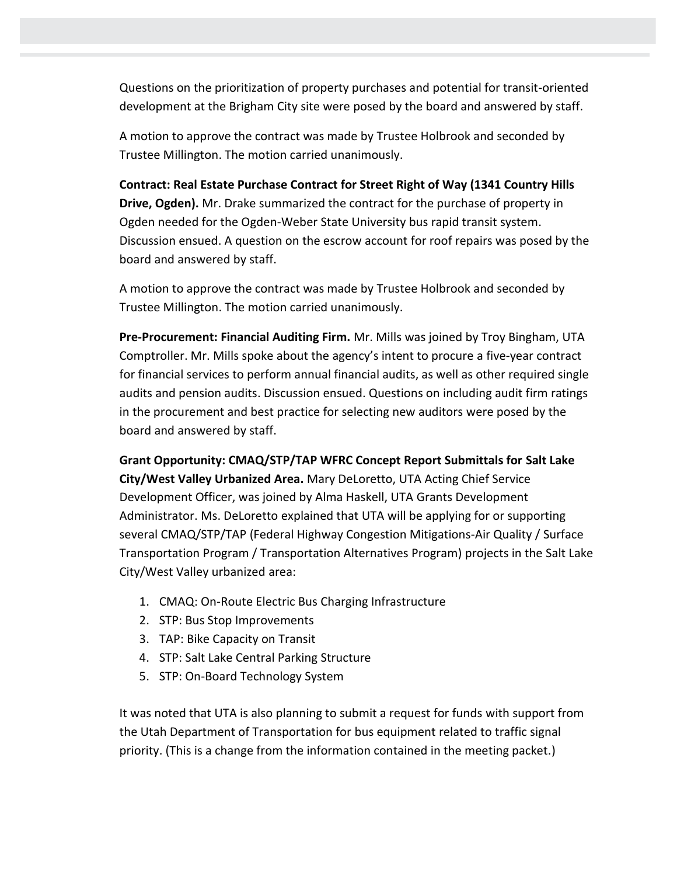Questions on the prioritization of property purchases and potential for transit-oriented development at the Brigham City site were posed by the board and answered by staff.

A motion to approve the contract was made by Trustee Holbrook and seconded by Trustee Millington. The motion carried unanimously.

**Contract: Real Estate Purchase Contract for Street Right of Way (1341 Country Hills Drive, Ogden).** Mr. Drake summarized the contract for the purchase of property in Ogden needed for the Ogden-Weber State University bus rapid transit system. Discussion ensued. A question on the escrow account for roof repairs was posed by the board and answered by staff.

A motion to approve the contract was made by Trustee Holbrook and seconded by Trustee Millington. The motion carried unanimously.

**Pre-Procurement: Financial Auditing Firm.** Mr. Mills was joined by Troy Bingham, UTA Comptroller. Mr. Mills spoke about the agency's intent to procure a five-year contract for financial services to perform annual financial audits, as well as other required single audits and pension audits. Discussion ensued. Questions on including audit firm ratings in the procurement and best practice for selecting new auditors were posed by the board and answered by staff.

**Grant Opportunity: CMAQ/STP/TAP WFRC Concept Report Submittals for Salt Lake City/West Valley Urbanized Area.** Mary DeLoretto, UTA Acting Chief Service Development Officer, was joined by Alma Haskell, UTA Grants Development Administrator. Ms. DeLoretto explained that UTA will be applying for or supporting several CMAQ/STP/TAP (Federal Highway Congestion Mitigations-Air Quality / Surface Transportation Program / Transportation Alternatives Program) projects in the Salt Lake City/West Valley urbanized area:

- 1. CMAQ: On-Route Electric Bus Charging Infrastructure
- 2. STP: Bus Stop Improvements
- 3. TAP: Bike Capacity on Transit
- 4. STP: Salt Lake Central Parking Structure
- 5. STP: On-Board Technology System

It was noted that UTA is also planning to submit a request for funds with support from the Utah Department of Transportation for bus equipment related to traffic signal priority. (This is a change from the information contained in the meeting packet.)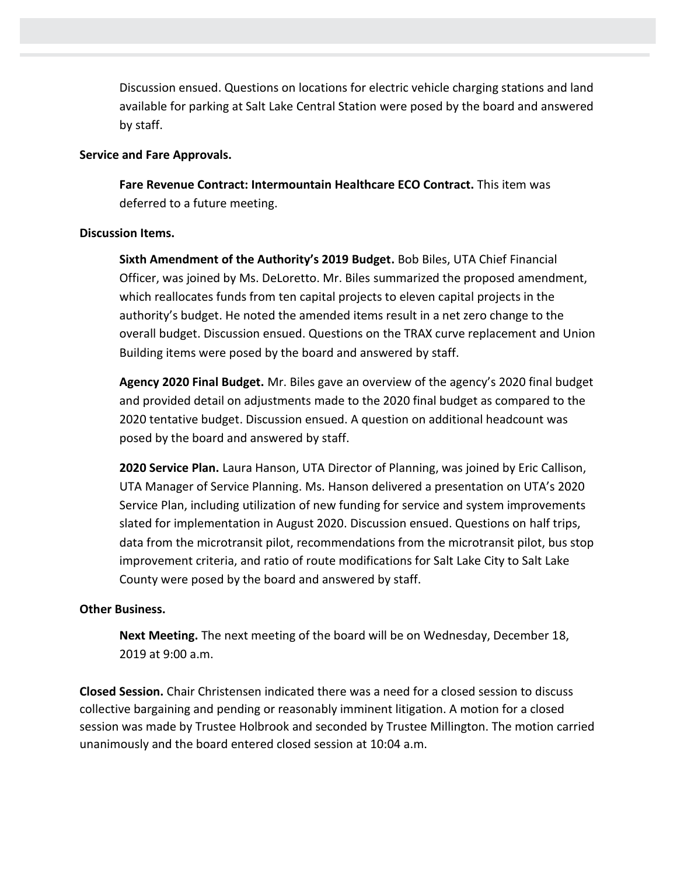Discussion ensued. Questions on locations for electric vehicle charging stations and land available for parking at Salt Lake Central Station were posed by the board and answered by staff.

### **Service and Fare Approvals.**

**Fare Revenue Contract: Intermountain Healthcare ECO Contract.** This item was deferred to a future meeting.

## **Discussion Items.**

**Sixth Amendment of the Authority's 2019 Budget.** Bob Biles, UTA Chief Financial Officer, was joined by Ms. DeLoretto. Mr. Biles summarized the proposed amendment, which reallocates funds from ten capital projects to eleven capital projects in the authority's budget. He noted the amended items result in a net zero change to the overall budget. Discussion ensued. Questions on the TRAX curve replacement and Union Building items were posed by the board and answered by staff.

**Agency 2020 Final Budget.** Mr. Biles gave an overview of the agency's 2020 final budget and provided detail on adjustments made to the 2020 final budget as compared to the 2020 tentative budget. Discussion ensued. A question on additional headcount was posed by the board and answered by staff.

**2020 Service Plan.** Laura Hanson, UTA Director of Planning, was joined by Eric Callison, UTA Manager of Service Planning. Ms. Hanson delivered a presentation on UTA's 2020 Service Plan, including utilization of new funding for service and system improvements slated for implementation in August 2020. Discussion ensued. Questions on half trips, data from the microtransit pilot, recommendations from the microtransit pilot, bus stop improvement criteria, and ratio of route modifications for Salt Lake City to Salt Lake County were posed by the board and answered by staff.

# **Other Business.**

**Next Meeting.** The next meeting of the board will be on Wednesday, December 18, 2019 at 9:00 a.m.

**Closed Session.** Chair Christensen indicated there was a need for a closed session to discuss collective bargaining and pending or reasonably imminent litigation. A motion for a closed session was made by Trustee Holbrook and seconded by Trustee Millington. The motion carried unanimously and the board entered closed session at 10:04 a.m.